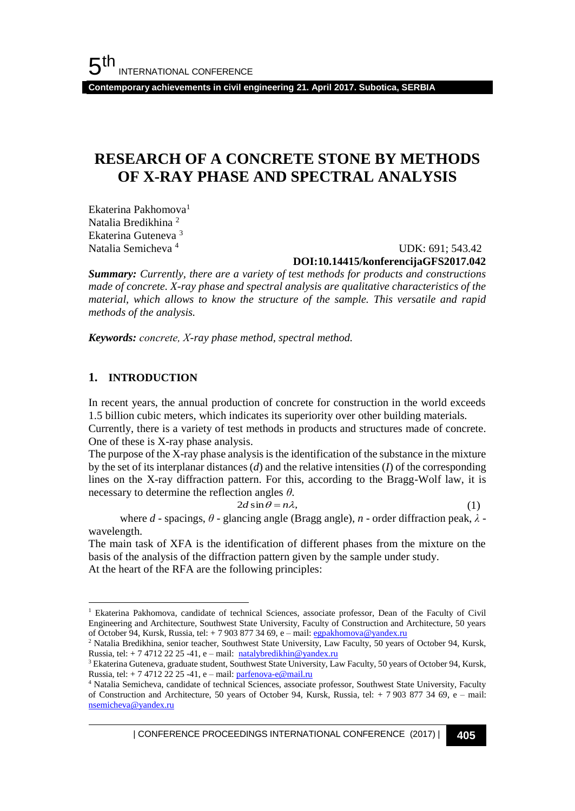**Contemporary achievements in civil engineering 21. April 2017. Subotica, SERBIA**

## **RESEARCH OF A CONCRETE STONE BY METHODS OF X-RAY PHASE AND SPECTRAL ANALYSIS**

Ekaterina Pakhomova<sup>1</sup> Natalia Bredikhina <sup>2</sup> Ekaterina Guteneva <sup>3</sup> Natalia Semicheva <sup>4</sup>

 UDK: 691; 543.42 **DOI:10.14415/konferencijaGFS2017.042**

*Summary: Currently, there are a variety of test methods for products and constructions made of concrete. X-ray phase and spectral analysis are qualitative characteristics of the material, which allows to know the structure of the sample. This versatile and rapid methods of the analysis.*

*Keywords: сoncrete, X-ray phase method, spectral method.* 

#### **1. INTRODUCTION**

l

In recent years, the annual production of concrete for construction in the world exceeds 1.5 billion cubic meters, which indicates its superiority over other building materials.

Currently, there is a variety of test methods in products and structures made of concrete. One of these is X-ray phase analysis.

The purpose of the X-ray phase analysis is the identification of the substance in the mixture by the set of its interplanar distances (*d*) and the relative intensities (*I*) of the corresponding lines on the X-ray diffraction pattern. For this, according to the Bragg-Wolf law, it is necessary to determine the reflection angles *θ*.

> $2d \sin \theta = n\lambda$ , (1)

where *d* - spacings, *θ* - glancing angle (Bragg angle), *n* - order diffraction peak, *λ* wavelength.

The main task of XFA is the identification of different phases from the mixture on the basis of the analysis of the diffraction pattern given by the sample under study. At the heart of the RFA are the following principles:

<sup>&</sup>lt;sup>1</sup> Ekaterina Pakhomova, candidate of technical Sciences, associate professor, Dean of the Faculty of Civil Engineering and Architecture, Southwest State University, Faculty of Construction and Architecture, 50 years of October 94, Kursk, Russia, tel: + 7 903 877 34 69, e – mail[: egpakhomova@yandex.ru](mailto:egpakhomova@yandex.ru)

<sup>2</sup> Natalia Bredikhina, senior teacher, Southwest State University, Law Faculty, 50 years of October 94, Kursk, Russia, tel:  $+ 747122225 -41$ , e – mail: [natalybredikhin@yandex.ru](mailto:natalybredikhin@yandex.ru)

<sup>&</sup>lt;sup>3</sup> Ekaterina Guteneva, graduate student, Southwest State University, Law Faculty, 50 years of October 94, Kursk, Russia, tel: + 7 4712 22 25 -41, e – mail[: parfenova-e@mail.ru](mailto:parfenova-e@mail.ru)

<sup>4</sup> Natalia Semicheva, candidate of technical Sciences, associate professor, Southwest State University, Faculty of Construction and Architecture, 50 years of October 94, Kursk, Russia, tel: + 7 903 877 34 69, e – mail: [nsemicheva@yandex.ru](mailto:nsemicheva@yandex.ru)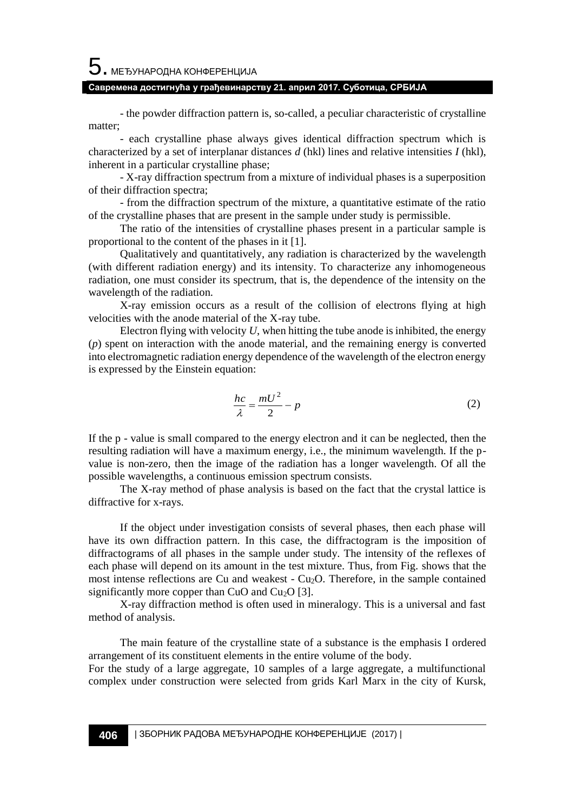# $5$ . међународна конференција

#### **Савремена достигнућа у грађевинарству 21. април 2017. Суботица, СРБИЈА**

- the powder diffraction pattern is, so-called, a peculiar characteristic of crystalline matter;

- each crystalline phase always gives identical diffraction spectrum which is characterized by a set of interplanar distances *d* (hkl) lines and relative intensities *I* (hkl), inherent in a particular crystalline phase;

- X-ray diffraction spectrum from a mixture of individual phases is a superposition of their diffraction spectra;

- from the diffraction spectrum of the mixture, a quantitative estimate of the ratio of the crystalline phases that are present in the sample under study is permissible.

The ratio of the intensities of crystalline phases present in a particular sample is proportional to the content of the phases in it [1].

Qualitatively and quantitatively, any radiation is characterized by the wavelength (with different radiation energy) and its intensity. To characterize any inhomogeneous radiation, one must consider its spectrum, that is, the dependence of the intensity on the wavelength of the radiation.

X-ray emission occurs as a result of the collision of electrons flying at high velocities with the anode material of the X-ray tube.

Electron flying with velocity *U*, when hitting the tube anode is inhibited, the energy (*p*) spent on interaction with the anode material, and the remaining energy is converted into electromagnetic radiation energy dependence of the wavelength of the electron energy is expressed by the Einstein equation:

$$
\frac{hc}{\lambda} = \frac{mU^2}{2} - p\tag{2}
$$

If the p - value is small compared to the energy electron and it can be neglected, then the resulting radiation will have a maximum energy, i.e., the minimum wavelength. If the pvalue is non-zero, then the image of the radiation has a longer wavelength. Of all the possible wavelengths, a continuous emission spectrum consists.

The X-ray method of phase analysis is based on the fact that the crystal lattice is diffractive for x-rays.

If the object under investigation consists of several phases, then each phase will have its own diffraction pattern. In this case, the diffractogram is the imposition of diffractograms of all phases in the sample under study. The intensity of the reflexes of each phase will depend on its amount in the test mixture. Thus, from Fig. shows that the most intense reflections are Cu and weakest -  $Cu<sub>2</sub>O$ . Therefore, in the sample contained significantly more copper than CuO and Cu<sub>2</sub>O [3].

X-ray diffraction method is often used in mineralogy. This is a universal and fast method of analysis.

The main feature of the crystalline state of a substance is the emphasis I ordered arrangement of its constituent elements in the entire volume of the body. For the study of a large aggregate, 10 samples of a large aggregate, a multifunctional complex under construction were selected from grids Karl Marx in the city of Kursk,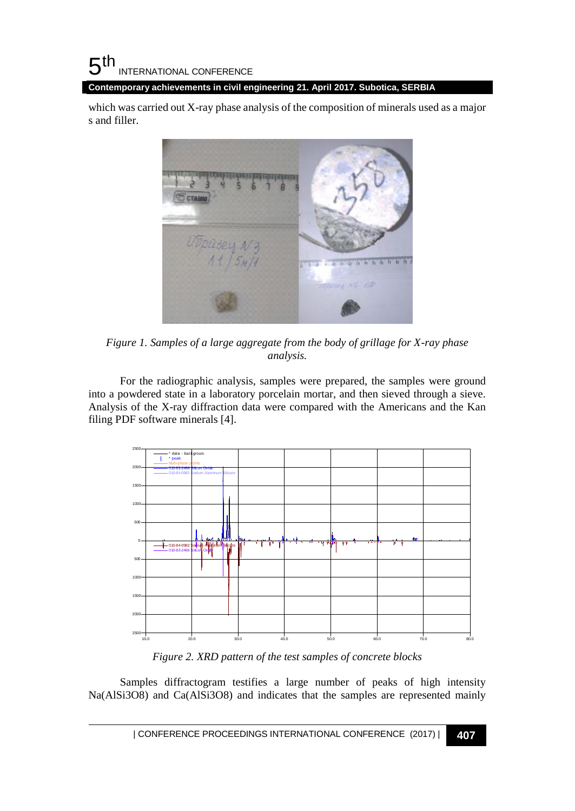which was carried out X-ray phase analysis of the composition of minerals used as a major s and filler.



*Figure 1. Samples of a large aggregate from the body of grillage for X-ray phase analysis.*

For the radiographic analysis, samples were prepared, the samples were ground into a powdered state in a laboratory porcelain mortar, and then sieved through a sieve. Analysis of the X-ray diffraction data were compared with the Americans and the Kan filing PDF software minerals [4].



*Figure 2. XRD pattern of the test samples of concrete blocks*

Samples diffractogram testifies a large number of peaks of high intensity Na(AlSi3O8) and Ca(AlSi3O8) and indicates that the samples are represented mainly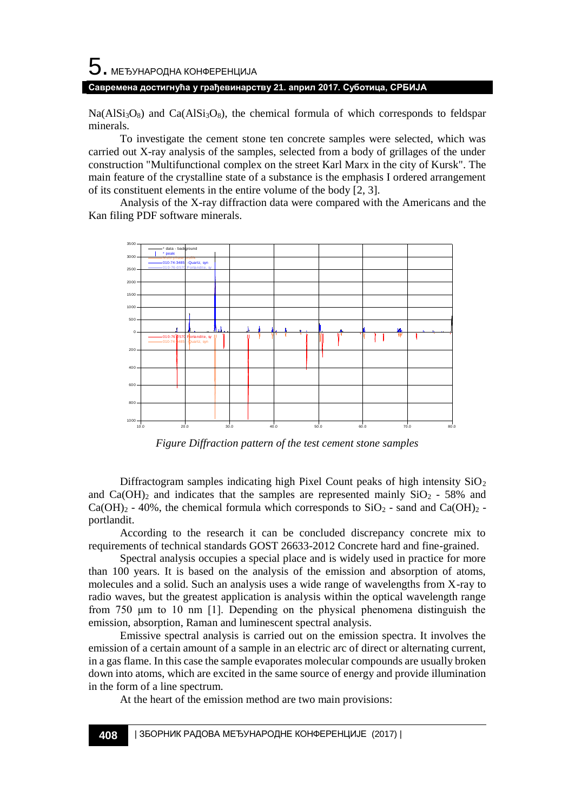## $\mathbf 5$ . међународна конференција **Савремена достигнућа у грађевинарству 21. април 2017. Суботица, СРБИЈА**

 $Na(AlSi<sub>3</sub>O<sub>8</sub>)$  and  $Ca(AlSi<sub>3</sub>O<sub>8</sub>)$ , the chemical formula of which corresponds to feldspar minerals.

To investigate the cement stone ten concrete samples were selected, which was carried out X-ray analysis of the samples, selected from a body of grillages of the under construction "Multifunctional complex on the street Karl Marx in the city of Kursk". The main feature of the crystalline state of a substance is the emphasis I ordered arrangement of its constituent elements in the entire volume of the body [2, 3].

Analysis of the X-ray diffraction data were compared with the Americans and the



*Figure Diffraction pattern of the test cement stone samples*

Diffractogram samples indicating high Pixel Count peaks of high intensity  $SiO<sub>2</sub>$ and  $Ca(OH)_2$  and indicates that the samples are represented mainly  $SiO_2$  - 58% and  $Ca(OH)_2$  - 40%, the chemical formula which corresponds to  $SiO_2$  - sand and  $Ca(OH)_2$  portlandit.

According to the research it can be concluded discrepancy concrete mix to requirements of technical standards GOST 26633-2012 Concrete hard and fine-grained.

Spectral analysis occupies a special place and is widely used in practice for more than 100 years. It is based on the analysis of the emission and absorption of atoms, molecules and a solid. Such an analysis uses a wide range of wavelengths from X-ray to radio waves, but the greatest application is analysis within the optical wavelength range from 750 μm to 10 nm [1]. Depending on the physical phenomena distinguish the emission, absorption, Raman and luminescent spectral analysis.

Emissive spectral analysis is carried out on the emission spectra. It involves the emission of a certain amount of a sample in an electric arc of direct or alternating current, in a gas flame. In this case the sample evaporates molecular compounds are usually broken down into atoms, which are excited in the same source of energy and provide illumination in the form of a line spectrum.

At the heart of the emission method are two main provisions: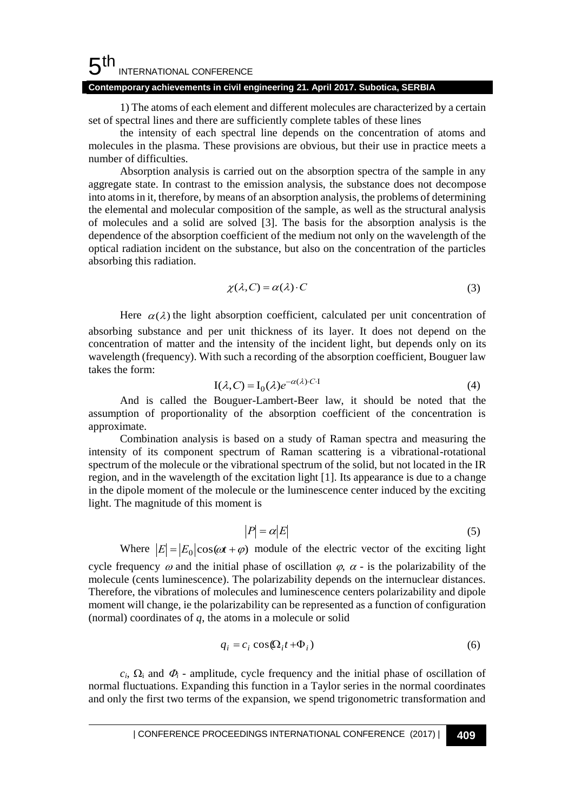#### 5 th INTERNATIONAL CONFERENCE **Contemporary achievements in civil engineering 21. April 2017. Subotica, SERBIA**

1) The atoms of each element and different molecules are characterized by a certain set of spectral lines and there are sufficiently complete tables of these lines

the intensity of each spectral line depends on the concentration of atoms and molecules in the plasma. These provisions are obvious, but their use in practice meets a number of difficulties.

Absorption analysis is carried out on the absorption spectra of the sample in any aggregate state. In contrast to the emission analysis, the substance does not decompose into atoms in it, therefore, by means of an absorption analysis, the problems of determining the elemental and molecular composition of the sample, as well as the structural analysis of molecules and a solid are solved [3]. The basis for the absorption analysis is the dependence of the absorption coefficient of the medium not only on the wavelength of the optical radiation incident on the substance, but also on the concentration of the particles absorbing this radiation.

$$
\chi(\lambda, C) = \alpha(\lambda) \cdot C \tag{3}
$$

Here  $\alpha(\lambda)$  the light absorption coefficient, calculated per unit concentration of absorbing substance and per unit thickness of its layer. It does not depend on the concentration of matter and the intensity of the incident light, but depends only on its wavelength (frequency). With such a recording of the absorption coefficient, Bouguer law takes the form:

$$
I(\lambda, C) = I_0(\lambda)e^{-\alpha(\lambda) \cdot C \cdot I}
$$
\n(4)

And is called the Bouguer-Lambert-Beer law, it should be noted that the assumption of proportionality of the absorption coefficient of the concentration is approximate.

Combination analysis is based on a study of Raman spectra and measuring the intensity of its component spectrum of Raman scattering is a vibrational-rotational spectrum of the molecule or the vibrational spectrum of the solid, but not located in the IR region, and in the wavelength of the excitation light [1]. Its appearance is due to a change in the dipole moment of the molecule or the luminescence center induced by the exciting light. The magnitude of this moment is

$$
|P| = \alpha |E| \tag{5}
$$

Where  $|E| = |E_0| \cos(\omega t + \varphi)$  module of the electric vector of the exciting light

cycle frequency  $\omega$  and the initial phase of oscillation  $\varphi$ ,  $\alpha$  - is the polarizability of the molecule (cents luminescence). The polarizability depends on the internuclear distances. Therefore, the vibrations of molecules and luminescence centers polarizability and dipole moment will change, ie the polarizability can be represented as a function of configuration (normal) coordinates of *q*, the atoms in a molecule or solid

$$
q_i = c_i \cos(\Omega_i t + \Phi_i) \tag{6}
$$

 $c_i$ ,  $\Omega_i$  and  $\Phi_i$  - amplitude, cycle frequency and the initial phase of oscillation of normal fluctuations. Expanding this function in a Taylor series in the normal coordinates and only the first two terms of the expansion, we spend trigonometric transformation and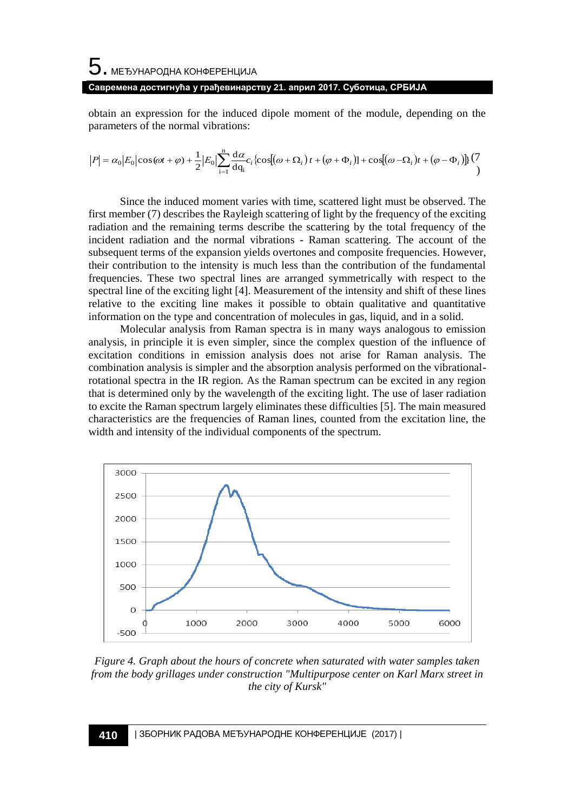#### **Савремена достигнућа у грађевинарству 21. април 2017. Суботица, СРБИЈА**

obtain an expression for the induced dipole moment of the module, depending on the parameters of the normal vibrations:

$$
|P| = \alpha_0 |E_0| \cos(\omega t + \varphi) + \frac{1}{2} |E_0| \sum_{i=1}^n \frac{d\alpha}{dq_i} c_i \left\{ \cos[(\omega + \Omega_i)t + (\varphi + \Phi_i)] \right\} + \cos[(\omega - \Omega_i)t + (\varphi - \Phi_i)] \left\{ \frac{(7\pi)^2}{2} \right\}
$$

Since the induced moment varies with time, scattered light must be observed. The first member (7) describes the Rayleigh scattering of light by the frequency of the exciting radiation and the remaining terms describe the scattering by the total frequency of the incident radiation and the normal vibrations - Raman scattering. The account of the subsequent terms of the expansion yields overtones and composite frequencies. However, their contribution to the intensity is much less than the contribution of the fundamental frequencies. These two spectral lines are arranged symmetrically with respect to the spectral line of the exciting light [4]. Measurement of the intensity and shift of these lines relative to the exciting line makes it possible to obtain qualitative and quantitative information on the type and concentration of molecules in gas, liquid, and in a solid.

Molecular analysis from Raman spectra is in many ways analogous to emission analysis, in principle it is even simpler, since the complex question of the influence of excitation conditions in emission analysis does not arise for Raman analysis. The combination analysis is simpler and the absorption analysis performed on the vibrationalrotational spectra in the IR region. As the Raman spectrum can be excited in any region that is determined only by the wavelength of the exciting light. The use of laser radiation to excite the Raman spectrum largely eliminates these difficulties [5]. The main measured characteristics are the frequencies of Raman lines, counted from the excitation line, the width and intensity of the individual components of the spectrum.



*Figure 4. Graph about the hours of concrete when saturated with water samples taken from the body grillages under construction "Multipurpose center on Karl Marx street in the city of Kursk"*